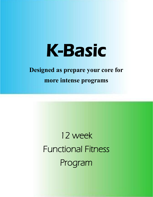# K-Basic

## **Designed as prepare your core for**

**more intense programs**

í

12 week Functional Fitness Program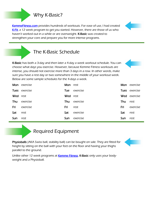### Why K-Basic?

[KemmeFitness.com p](http://kemmefitness.com/)rovides hundreds of workouts. For ease of use, I had created [K-Fit,](http://kemmefitness.com/resources/k-fit) a 12 week program to get you started. However, there are those of us who haven't worked out in a while or are overweight. K-Basic was created to strengthen your core and prepare you for more intense programs.

### The K-Basic Schedule

K-Basic has both a 3-day and then later a 4-day a week workout schedule. You can choose what days you exercise. However, because Kemme Fitness workouts are intense, you should not exercise more than 3 days in a row. In other words, make sure you have a rest day or two somewhere in the middle of your workout week. Below are some sample schedules for the 4-days a week.



|          | <b>Mon</b> exercise | Mon rest |              |     | Mon exercise         |
|----------|---------------------|----------|--------------|-----|----------------------|
|          | Tues exercise       |          | Tue exercise |     | <b>Tues</b> exercise |
| Wed rest |                     | Wed rest |              |     | <b>Wed</b> exercise  |
| Thu      | exercise            | Thu      | exercise     | Thu | rest                 |
| Fri      | exercise            | Fri      | rest         | Fri | exercise             |
| Sat      | rest                | Sat      | exercise     | Sat | rest                 |
| Sun      | rest                | Sun      | exercise     | Sun | rest                 |

### Required Equipment

Physioballs (AKA Swiss ball, stability ball) can be bought on sale. They are fitted for height by sitting on the ball with your feet on the floor and having your thighs parallel to the ground.



Unlike other 12 week programs at **Kemme Fitness**, K-Basic only uses your bodyweight and a Physioball.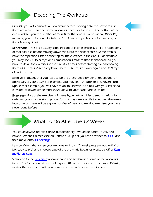### Decoding The Workouts

Circuits—you will complete all of a circuit before moving onto the next circuit if there are more than one (some workouts have 3 or 4 circuits). The bottom of the circuit will tell you the number of rounds for that circuit. Some will say X2 or X3, meaning you do the circuit a total of 2 or 3 times respectively before moving onto the following circuit.

Repetitions—These are usually listed in front of each exercise. Do all the repetitions of that exercise before moving down the list to the next exercise. Some circuits have the repetitions listed at the top for the exercises in the circuit. For example, you may see 21, 15, 9 reps or a combination similar to that. In that example you have to do all the exercises in the circuit 21 times before starting over and doing them all 15 times. After completing them 15 times, start over again and do 9 reps of each exercise.

Each Side—means that you have to do the prescribed number of repetitions for both sides of your body. For example, you may see 10—each side—Uneven Pushups. In that example, you will have to do 10 Uneven Push-ups with your left hand elevated, followed by 10 more Push-ups with your right hand elevated.

Exercises—Most of the exercises will have hyperlinks to video demonstrations in order for you to understand proper form. It may take a while to get over the learning curve, as there will be a great number of new and exciting exercises you have never done before.

### What To Do After The 12 Weeks

You could always repeat K-Basic, but personally I would be bored. If you also have a kettlebell, a medicine ball, and a pull-up bar, you can advance to **K-Fit.**, and then move onto **K-Challenge**.

I am confident that when you are done with this 12 week program, you will also be ready to pick and choose some of the pre-made beginner workouts off of [Kem](http://kemmefitness.com)[meFitness.com.](http://kemmefitness.com)

Simply go to the **Beginner** workout page and sift through some of the workouts listed. A select few workouts will require little or no equipment such as in K-Basic, while other workouts will require some homemade or gym equipment.



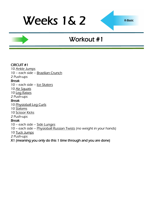## Weeks 1& 2

## Workout #1

#### CIRCUIT #1

10 [Ankle Jumps](http://www.youtube.com/watch?v=Yrbq2ytO78s)

10 – each side – [Brazilian Crunch](http://www.youtube.com/watch?v=r6J94se3Bs4)

### 2 Push-ups

Break

10 – each side – [Ice Skaters](http://www.youtube.com/watch?v=NdVRPwPrWOM&feature=PlayList&p=68EAD6311C5A9513&playnext_from=PL&index=41&playnext=2)

10 [Air Squats](http://www.youtube.com/watch?v=zf2SWnIQbwI&feature=player_embedded)

10 [Leg Raises](http://www.youtube.com/watch?v=gMo97vRBg5A)

2 Push-ups

#### Break

10 [Physioball Leg Curls](http://www.youtube.com/watch?v=qDtbUN74YTA)

10 [Slaloms](http://www.youtube.com/watch?v=WfrB6n3la0Q)

10 [Scissor Kicks](http://www.youtube.com/watch?v=XyLTb8ZTh48)

2 Push-ups

#### Break

10 – each side – [Side Lunges](http://www.youtube.com/watch?v=TzhEkzoTcZ4)

10 – each side – [Physioball Russian Twists](http://www.youtube.com/watch?v=8DdlxChLme4) (no weight in your hands)

10 [Tuck Jumps](http://www.youtube.com/watch?v=JlI_oY2Qmro&feature=related)

2 Push-ups

X1 (meaning you only do this 1 time through and you are done)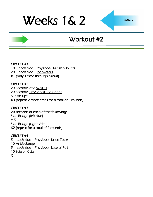## Weeks 1& 2

## Workout #2

CIRCUIT #1 10 – each side – [Physioball Russian Twists](http://www.youtube.com/watch?v=8DdlxChLme4) 20 – each side – [Ice Skaters](http://www.youtube.com/watch?v=NdVRPwPrWOM&feature=PlayList&p=68EAD6311C5A9513&playnext_from=PL&index=41&playnext=2) X1 (only 1 time through circuit)

CIRCUIT #2 20 Seconds of a [Wall Sit](http://www.youtube.com/watch?v=VjdtAT8H8LQ) 20 Seconds [Physioball Leg Bridge](http://www.youtube.com/watch?v=GTsmpxag4GM) 5 Push-ups X3 (repeat 2 more times for a total of 3 rounds)

CIRCUIT #3 20 seconds of each of the following: [Side Bridge](http://www.youtube.com/watch?v=_6vjo5yFo1U) (left side) [V-Sit](http://www.youtube.com/watch?v=I_1KGrBx2T4) Side Bridge (right side) X2 (repeat for a total of 2 rounds)

CIRCUIT #4 5 – each side – [Physioball Knee Tucks](http://www.youtube.com/watch?v=hr3yEf6d1Yc) 10 [Ankle Jumps](http://www.youtube.com/watch?v=Yrbq2ytO78s) 5 – each side – [Physioball Lateral Roll](http://www.youtube.com/watch?v=ua9KYguBt8E) 10 [Scissor Kicks](http://www.youtube.com/watch?v=XyLTb8ZTh48) X1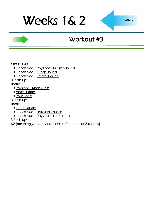## Weeks 1& 2

## Workout #3

#### CIRCUIT #1

10 – each side – [Physioball Russian Twists](http://www.youtube.com/watch?v=8DdlxChLme4)

10 – each side – [Lunge Twists](http://www.youtube.com/watch?v=H0HLl6DnQ90)

10 – each side – [Lateral Bound](http://www.youtube.com/watch?v=e0njPsJqikU)

3 Push-ups

#### Break

10 [Physioball Knee Tucks](http://www.youtube.com/watch?v=hr3yEf6d1Yc)

10 [Ankle Jumps](http://www.youtube.com/watch?v=Yrbq2ytO78s)

10 [Row Boats](http://www.youtube.com/watch?v=BoI8gn3YRcQ)

3 Push-ups

#### Break

10 [Quad Squats](http://www.youtube.com/watch?v=5Q5v3WaT-yY)

10 – each side – [Brazilian Crunch](http://www.youtube.com/watch?v=r6J94se3Bs4)

10 – each side – [Physioball Lateral Roll](http://www.youtube.com/watch?v=ua9KYguBt8E)

3 Push-ups

### X2 (meaning you repeat the circuit for a total of 2 rounds)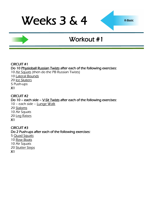## Weeks 3 & 4

## Workout #1

#### CIRCUIT #1 Do 10 [Physioball Russian Twists a](http://www.youtube.com/watch?v=8DdlxChLme4)fter each of the following exercises: 10 [Air Squats](http://www.youtube.com/watch?v=zf2SWnIQbwI&feature=player_embedded) (then do the PB Russian Twists) 10 [Lateral Bounds](http://www.youtube.com/watch?v=e0njPsJqikU) 20 [Ice Skaters](http://www.youtube.com/watch?v=NdVRPwPrWOM&feature=PlayList&p=68EAD6311C5A9513&playnext_from=PL&index=41&playnext=2) 5 Push-ups X1

#### CIRCUIT #2

Do 10 – each side –  $V-Sit Twists$  after each of the following exercises:</u> 10 – each side – [Lunge Walk](http://www.youtube.com/watch?v=fPCSGUhgxxk) 20 [Slaloms](http://www.youtube.com/watch?v=WfrB6n3la0Q) 10 Air Squats 20 [Leg Raises](http://www.youtube.com/watch?v=gMo97vRBg5A) X1

CIRCUIT #3 Do 2 Push-ups after each of the following exercises: 5 [Quad Squats](http://www.youtube.com/watch?v=5Q5v3WaT-yY) 10 [Row Boats](http://www.youtube.com/watch?v=BoI8gn3YRcQ) 10 Air Squats 20 [Stutter Steps](http://www.youtube.com/watch?v=Zx-mRiCVbOw)

X1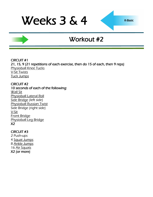## Weeks 3 & 4

## Workout #2

CIRCUIT #1 21, 15, 9 (21 repetitions of each exercise, then do 15 of each, then 9 reps) [Physioball Knee Tucks](http://www.youtube.com/watch?v=hr3yEf6d1Yc) [V-Sit Twists](http://www.youtube.com/watch?v=f7bu0Tb5hUw) [Tuck Jumps](http://www.youtube.com/watch?v=JlI_oY2Qmro&feature=related)

CIRCUIT #2 10 seconds of each of the following: [Wall Sit](http://www.youtube.com/watch?v=VjdtAT8H8LQ) [Physioball Lateral Roll](http://www.youtube.com/watch?v=ua9KYguBt8E) [Side Bridge](http://www.youtube.com/watch?v=_6vjo5yFo1U) (left side) [Physioball Russian Twist](http://www.youtube.com/watch?v=8DdlxChLme4) Side Bridge (right side) [V-Sit](http://www.youtube.com/watch?v=I_1KGrBx2T4) [Front Bridge](http://www.youtube.com/watch?v=nnLRHI757E4) [Physioball Leg Bridge](http://www.youtube.com/watch?v=GTsmpxag4GM) X2

#### CIRCUIT #3

2 Push-ups 4 [Squat Jumps](http://www.youtube.com/watch?v=56vWSQaTbSo) 8 [Ankle Jumps](http://www.youtube.com/watch?v=Yrbq2ytO78s) 16 [Air Squats](http://www.youtube.com/watch?v=zf2SWnIQbwI&feature=player_embedded) X2 (or more)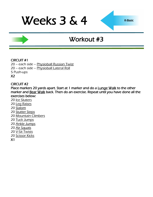## Weeks 3 & 4

## Workout #3

#### CIRCUIT #1

20 – each side – [Physioball Russian Twist](http://www.youtube.com/watch?v=8DdlxChLme4) 20 – each side – [Physioball Lateral Roll](http://www.youtube.com/watch?v=ua9KYguBt8E) 5 Push-ups X2

#### CIRCUIT #2

Place markers 20 yards apart. Start at 1 marker and do a **Lunge Walk** to the other marker and **Bear Walk** back. Then do an exercise. Repeat until you have done all the exercises below:

- 20 [Ice Skaters](http://www.youtube.com/watch?v=NdVRPwPrWOM&feature=PlayList&p=68EAD6311C5A9513&playnext_from=PL&index=41&playnext=2)
- 20 [Leg Raises](http://www.youtube.com/watch?v=gMo97vRBg5A)
- 20 [Slalom](http://www.youtube.com/watch?v=WfrB6n3la0Q)
- 20 [Stutter Steps](http://www.youtube.com/watch?v=Zx-mRiCVbOw)
- 20 [Mountain Climbers](http://www.youtube.com/watch?v=DHjdc2QVRUQ)
- 20 [Tuck Jumps](http://www.youtube.com/watch?v=JlI_oY2Qmro&feature=related)
- 20 [Ankle Jumps](http://www.youtube.com/watch?v=Yrbq2ytO78s)
- 20 [Air Squats](http://www.youtube.com/watch?v=zf2SWnIQbwI&feature=player_embedded)
- 20 [V-Sit Twists](http://www.youtube.com/watch?v=f7bu0Tb5hUw)
- 20 [Scissor Kicks](http://www.youtube.com/watch?v=XyLTb8ZTh48)
- X1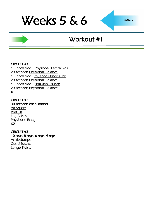## Workout #1

#### CIRCUIT #1

4 – each side – [Physioball Lateral Roll](http://www.youtube.com/watch?v=ua9KYguBt8E) 20 seconds [Physioball Balance](http://www.youtube.com/watch?v=VTumhqtrDMY) 4 – each side - [Physioball Knee Tuck](http://www.youtube.com/watch?v=hr3yEf6d1Yc) 20 seconds Physioball Balance 4 – each side – [Brazilian Crunch](http://www.youtube.com/watch?v=r6J94se3Bs4) 20 seconds Physioball Balance X1

CIRCUIT #2 30 seconds each station [Air Squats](http://www.youtube.com/watch?v=zf2SWnIQbwI&feature=player_embedded) [Wall Sit](http://www.youtube.com/watch?v=VjdtAT8H8LQ) [Leg Raises](http://www.youtube.com/watch?v=gMo97vRBg5A) [Physioball Bridge](http://www.youtube.com/watch?v=GTsmpxag4GM) X2

CIRCUIT #3 10 reps, 8 reps, 6 reps, 4 reps [Ankle Jumps](http://www.youtube.com/watch?v=Yrbq2ytO78s) [Quad Squats](http://www.youtube.com/watch?v=5Q5v3WaT-yY) [Lunge Twists](http://www.youtube.com/watch?v=H0HLl6DnQ90)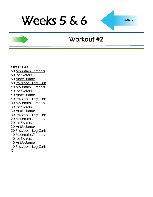### Workout #2

CIRCUIT #1 50 [Mountain Climbers](http://www.youtube.com/watch?v=DHjdc2QVRUQ) 50 [Ice Skaters](http://www.youtube.com/watch?v=NdVRPwPrWOM&feature=PlayList&p=68EAD6311C5A9513&playnext_from=PL&index=41&playnext=2) 50 [Ankle Jumps](http://www.youtube.com/watch?v=Yrbq2ytO78s) 50 [Physioball Leg Curls](http://www.youtube.com/watch?v=qDtbUN74YTA) 40 Mountain Climbers 40 Ice Skaters 40 Ankle Jumps 40 Physioball Leg Curls 30 Mountain Climbers 30 Ice Skaters 30 Ankle Jumps 30 Physioball Leg Curls 20 Mountain Climbers 20 Ice Skaters 20 Ankle Jumps 20 Physioball Leg Curls 10 Mountain Climbers 10 Ice Skaters 10 Ankle Jumps 10 Physioball Leg Curls X1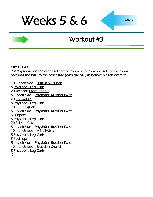## Workout #3

CIRCUIT #1

Put Physioball on the other side of the room. Run from one side of the room (without the ball) to the other side (with the ball) in between each exercise.

10 – each side – [Brazilian Crunch](http://www.youtube.com/watch?v=r6J94se3Bs4) 5 [Physioball Leg Curls](http://www.youtube.com/watch?v=qDtbUN74YTA)  20 seconds [Front Bridge](http://www.youtube.com/watch?v=nnLRHI757E4) 5 – each side – [Physioball Russian Twist](http://www.youtube.com/watch?v=8DdlxChLme4)  20 [Leg Raises](http://www.youtube.com/watch?v=gMo97vRBg5A) 5 Physioball Leg Curls 10 **[Quad Squats](http://www.youtube.com/watch?v=5Q5v3WaT-yY)** 5 – each side – Physioball Russian Twist 5 [Burpees](http://www.youtube.com/watch?v=c_Dq_NCzj8M&feature=related) 5 Physioball Leg Curls 20 [Scissor Kicks](http://www.youtube.com/watch?v=XyLTb8ZTh48) 5 – each side – Physioball Russian Twist 10 – each side – [V-Sit Twists](http://www.youtube.com/watch?v=f7bu0Tb5hUw) 5 Physioball Leg Curls 5 Push-ups 5 – each side – Physioball Russian Twist 10 – each side – Brazilian Crunch 5 Physioball Leg Curls X1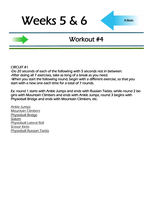### Workout #4

CIRCUIT #1

-Do 20 seconds of each of the following with 5 seconds rest in between. -After doing all 7 exercises, take as long of a break as you need. -When you start the following round, begin with a different exercise, so that you start with a new one each time for a total of 7 rounds.

Ex: round 1 starts with Ankle Jumps and ends with Russian Twists, while round 2 begins with Mountain Climbers and ends with Ankle Jumps, round 3 begins with Physioball Bridge and ends with Mountain Climbers, etc.

[Ankle Jumps](http://www.youtube.com/watch?v=Yrbq2ytO78s) [Mountain Climbers](http://www.youtube.com/watch?v=DHjdc2QVRUQ) [Physioball Bridge](http://www.youtube.com/watch?v=GTsmpxag4GM) [Slalom](http://www.youtube.com/watch?v=WfrB6n3la0Q) [Physioball Lateral Roll](http://www.youtube.com/watch?v=ua9KYguBt8E) **[Scissor Kicks](http://www.youtube.com/watch?v=XyLTb8ZTh48)** [Physioball Russian Twists](http://www.youtube.com/watch?v=8DdlxChLme4)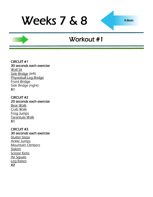### Workout #1

CIRCUIT #1 30 seconds each exercise **[Wall Sit](http://www.youtube.com/watch?v=VjdtAT8H8LQ)** [Side Bridge](http://www.youtube.com/watch?v=_6vjo5yFo1U) (left) [Physioball Leg Bridge](http://www.youtube.com/watch?v=GTsmpxag4GM) [Front Bridge](http://www.youtube.com/watch?v=nnLRHI757E4) Side Bridge (right) X1

CIRCUIT #2 20 seconds each exercise [Bear Walk](http://www.youtube.com/watch?v=-OKN0zDXC7k) [Crab Walk](http://www.youtube.com/watch?v=U7n_qKGtPZ4) [Frog Jumps](http://www.youtube.com/watch?v=ot_to1gZwjI) [Tarantula Walk](http://www.youtube.com/watch?v=JV_eVV3tysw) X1

CIRCUIT #3 30 seconds each exercise **[Stutter Steps](http://www.youtube.com/watch?v=Zx-mRiCVbOw)** [Ankle Jumps](http://www.youtube.com/watch?v=Yrbq2ytO78s) [Mountain Climbers](http://www.youtube.com/watch?v=DHjdc2QVRUQ) [Slalom](http://www.youtube.com/watch?v=WfrB6n3la0Q) [Scissor Kicks](http://www.youtube.com/watch?v=XyLTb8ZTh48) [Air Squats](http://www.youtube.com/watch?v=zf2SWnIQbwI&feature=player_embedded) [Leg Raises](http://www.youtube.com/watch?v=gMo97vRBg5A) X2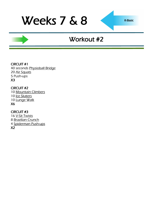## Workout #2

CIRCUIT #1

40 seconds [Physioball Bridge](http://www.youtube.com/watch?v=GTsmpxag4GM) 20 [Air Squats](http://www.youtube.com/watch?v=zf2SWnIQbwI&feature=player_embedded) 5 Push-ups X3

CIRCUIT #2 10 [Mountain Climbers](http://www.youtube.com/watch?v=DHjdc2QVRUQ) 10 [Ice Skaters](http://www.youtube.com/watch?v=NdVRPwPrWOM&feature=PlayList&p=68EAD6311C5A9513&playnext_from=PL&index=41&playnext=2) 10 [Lunge Walk](http://www.youtube.com/watch?v=fPCSGUhgxxk) X6

#### CIRCUIT #3

[V-Sit Twists](http://www.youtube.com/watch?v=f7bu0Tb5hUw) [Brazilian Crunch](http://www.youtube.com/watch?v=r6J94se3Bs4) [Spiderman Push-ups](http://www.youtube.com/watch?v=PmoinoBow1Q) X2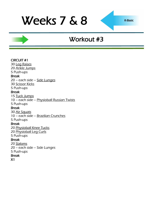### Workout #3

#### CIRCUIT #1 30 [Leg Raises](http://www.youtube.com/watch?v=gMo97vRBg5A) 20 [Ankle Jumps](http://www.youtube.com/watch?v=Yrbq2ytO78s) 5 Push-ups Break 20 – each side – [Side Lunges](http://www.youtube.com/watch?v=TzhEkzoTcZ4) 30 [Scissor Kicks](http://www.youtube.com/watch?v=XyLTb8ZTh48) 5 Push-ups Break 15 [Tuck Jumps](http://www.youtube.com/watch?v=JlI_oY2Qmro&feature=related) 10 – each side – [Physioball Russian Twists](http://www.youtube.com/watch?v=8DdlxChLme4) 5 Push-ups Break 30 [Air Squats](http://www.youtube.com/watch?v=zf2SWnIQbwI&feature=player_embedded) 10 – each side – [Brazilian Crunches](http://www.youtube.com/watch?v=r6J94se3Bs4) 5 Push-ups Break 20 [Physioball Knee Tucks](http://www.youtube.com/watch?v=hr3yEf6d1Yc) 20 [Physioball Leg Curls](http://www.youtube.com/watch?v=qDtbUN74YTA) 5 Push-ups Break 20 [Slaloms](http://www.youtube.com/watch?v=WfrB6n3la0Q) 20 – each side – Side Lunges 5 Push-ups Break X1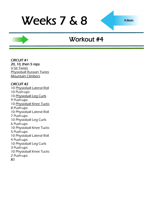### Workout #4

CIRCUIT #1 20, 10, then 5 reps [V-Sit Twists](http://www.youtube.com/watch?v=f7bu0Tb5hUw) [Physioball Russian Twists](http://www.youtube.com/watch?v=8DdlxChLme4) [Mountain Climbers](http://www.youtube.com/watch?v=DHjdc2QVRUQ)

#### CIRCUIT #2

10 [Physioball Lateral Roll](http://www.youtube.com/watch?v=ua9KYguBt8E) 10 Push-ups 10 [Physioball Leg Curls](http://www.youtube.com/watch?v=qDtbUN74YTA) 9 Push-ups 10 [Physioball Knee Tucks](http://www.youtube.com/watch?v=hr3yEf6d1Yc) 8 Push-ups 10 Physioball Lateral Roll 7 Push-ups 10 Physioball Leg Curls 6 Push-ups 10 Physioball Knee Tucks 5 Push-ups 10 Physioball Lateral Roll 4 Push-ups 10 Physioball Leg Curls 3 Push-ups 10 Physioball Knee Tucks 2 Push-ups X1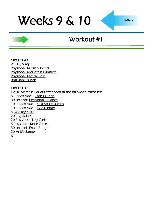## Workout #1

CIRCUIT #1 21, 15, 9 reps [Physioball Russian Twists](http://www.youtube.com/watch?v=8DdlxChLme4) [Physioball Mountain Climbers](http://www.youtube.com/watch?v=t8D3CMqTuik) [Physioball Lateral Rolls](http://www.youtube.com/watch?v=ua9KYguBt8E) [Brazilian Crunch](http://www.youtube.com/watch?v=r6J94se3Bs4)

#### CIRCUIT #2

Do 10 Siamese Squats after each of the following exercises: – each side – [Crab Crunch](http://www.youtube.com/watch?v=lSeFU1p38W4) 30 seconds [Physioball Balance](http://www.youtube.com/watch?v=VTumhqtrDMY) – each side – [Split Squat Jumps](http://www.youtube.com/watch?v=CK7xI0wa04g) – each side – [Side Lunges](http://www.youtube.com/watch?v=TzhEkzoTcZ4) [Donkey Kicks](http://www.youtube.com/watch?v=ElXtaOqr7Ak) [Leg Raises](http://www.youtube.com/watch?v=gMo97vRBg5A) [Physioball Leg Curls](http://www.youtube.com/watch?v=qDtbUN74YTA) [Physioball Knee Tucks](http://www.youtube.com/watch?v=hr3yEf6d1Yc) 30 seconds [Front Bridge](http://www.youtube.com/watch?v=nnLRHI757E4) [Ankle Jumps](http://www.youtube.com/watch?v=Yrbq2ytO78s) X1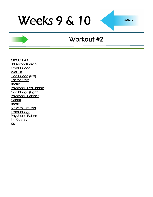### Workout #2

CIRCUIT #1 30 seconds each Front Bridge **[Wall Sit](http://www.youtube.com/watch?v=VjdtAT8H8LQ)** [Side Bridge](http://www.youtube.com/watch?v=_6vjo5yFo1U) (left) **[Scissor Kicks](http://www.youtube.com/watch?v=XyLTb8ZTh48)** Break [Physioball Leg Bridge](http://www.youtube.com/watch?v=GTsmpxag4GM) Side Bridge (right) [Physioball Balance](http://www.youtube.com/watch?v=VTumhqtrDMY) [Slalom](http://www.youtube.com/watch?v=WfrB6n3la0Q) Break [Nose to Ground](http://www.youtube.com/watch?v=Qjt1m6LHVxw) [Front Bridge](http://www.youtube.com/watch?v=nnLRHI757E4) Physioball Balance [Ice Skaters](http://www.youtube.com/watch?v=NdVRPwPrWOM&feature=PlayList&p=68EAD6311C5A9513&playnext_from=PL&index=41&playnext=2) X6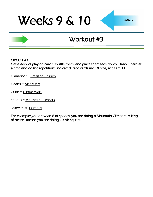### Workout #3

CIRCUIT #1

Get a deck of playing cards, shuffle them, and place them face down. Draw 1 card at a time and do the repetitions indicated (face cards are 10 reps, aces are 11).

Diamonds = [Brazilian Crunch](http://www.youtube.com/watch?v=r6J94se3Bs4)

Hearts = [Air Squats](http://www.youtube.com/watch?v=zf2SWnIQbwI&feature=player_embedded)

Clubs = [Lunge Walk](http://www.youtube.com/watch?v=fPCSGUhgxxk)

Spades = [Mountain Climbers](http://www.youtube.com/watch?v=DHjdc2QVRUQ)

Jokers = 10 [Burpees](http://www.youtube.com/watch?v=c_Dq_NCzj8M&feature=related)

For example: you draw an 8 of spades, you are doing 8 Mountain Climbers. A king of hearts, means you are doing 10 Air Squats.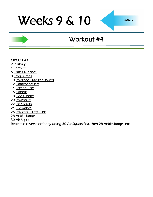## Workout #4

#### CIRCUIT #1

- 2 Push-ups
- [Sprawls](http://www.youtube.com/watch?v=y0CcmNMeJV0&feature=related)
- [Crab Crunches](http://www.youtube.com/watch?v=lSeFU1p38W4)
- [Frog Jumps](http://www.youtube.com/watch?v=ot_to1gZwjI)
- [Physioball Russian Twists](http://www.youtube.com/watch?v=8DdlxChLme4)
- [Siamese Squats](http://www.youtube.com/watch?v=o3nHRWuxTf0)
- [Scissor Kicks](http://www.youtube.com/watch?v=XyLTb8ZTh48)
- [Slaloms](http://www.youtube.com/watch?v=WfrB6n3la0Q)
- [Side Lunges](http://www.youtube.com/watch?v=TzhEkzoTcZ4)
- [Rowboats](http://www.youtube.com/watch?v=BoI8gn3YRcQ)
- [Ice Skaters](http://www.youtube.com/watch?v=NdVRPwPrWOM&feature=PlayList&p=68EAD6311C5A9513&playnext_from=PL&index=41&playnext=2)
- [Leg Raises](http://www.youtube.com/watch?v=gMo97vRBg5A)
- [Physioball Leg Curls](http://www.youtube.com/watch?v=qDtbUN74YTA)
- [Ankle Jumps](http://www.youtube.com/watch?v=Yrbq2ytO78s)
- [Air Squats](http://www.youtube.com/watch?v=zf2SWnIQbwI&feature=player_embedded)

Repeat in reverse order by doing 30 Air Squats first, then 28 Ankle Jumps, etc.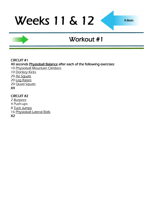## Workout #1

#### CIRCUIT #1

40 seconds [Physioball Balance a](http://www.youtube.com/watch?v=VTumhqtrDMY)fter each of the following exercises:

- 10 [Physioball Mountain Climbers](http://www.youtube.com/watch?v=t8D3CMqTuik)
- 10 [Donkey Kicks](http://www.youtube.com/watch?v=ElXtaOqr7Ak)
- 20 [Air Squats](http://www.youtube.com/watch?v=zf2SWnIQbwI&feature=player_embedded)
- 20 [Leg Raises](http://www.youtube.com/watch?v=gMo97vRBg5A)
- 20 **[Quad Squats](http://www.youtube.com/watch?v=5Q5v3WaT-yY)**

#### X4

### CIRCUIT #2

- 2 [Burpees](http://www.youtube.com/watch?v=c_Dq_NCzj8M&feature=related)
- 4 Push-ups
- 8 [Tuck Jumps](http://www.youtube.com/watch?v=JlI_oY2Qmro&feature=related)
- 16 [Physioball Lateral Rolls](http://www.youtube.com/watch?v=ua9KYguBt8E)
- X2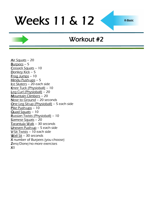### Workout #2

[Air Squats](http://www.youtube.com/watch?v=zf2SWnIQbwI&feature=player_embedded) – 20 [Burpees](http://www.youtube.com/watch?v=c_Dq_NCzj8M&feature=related) – 5 [Cossack Squats](http://www.youtube.com/watch?v=qh36stqkPi0&feature=fvsr) – 10 [Donkey Kick](http://www.youtube.com/watch?v=ElXtaOqr7Ak) - 5 [Frog Jumps](http://www.youtube.com/watch?v=ot_to1gZwjI) – 10 [Hindu Push-ups](http://www.youtube.com/watch?v=9ndOPrcoUt8) – 5 [Ice Skaters](http://www.youtube.com/watch?v=NdVRPwPrWOM&feature=PlayList&p=68EAD6311C5A9513&playnext_from=PL&index=41&playnext=2) - 20 each side [Knee Tuck \(Physioball\)](http://www.youtube.com/watch?v=hr3yEf6d1Yc) – 10 [Leg Curl \(Physioball\)](http://www.youtube.com/watch?v=qDtbUN74YTA) – 20 [Mountain Climbers](http://www.youtube.com/watch?v=DHjdc2QVRUQ) – 20 [Nose to Ground](http://www.youtube.com/watch?v=Qjt1m6LHVxw) – 20 seconds [One Leg Sit-up \(Physioball\)](http://www.youtube.com/watch?v=KiGfgFimgFQ) – 5 each side [Pike Push-ups](http://www.youtube.com/watch?v=EA8g7q9jauM) - 10 [Quad Squats](http://www.youtube.com/watch?v=5Q5v3WaT-yY) – 10 [Russian Twists \(Physioball\)](http://www.youtube.com/watch?v=8DdlxChLme4) – 10 [Siamese Squats](http://www.youtube.com/watch?v=o3nHRWuxTf0) – 20 [Tarantula Walk](http://www.youtube.com/watch?v=JV_eVV3tysw) – 30 seconds [Uneven Push-up](http://www.youtube.com/watch?v=RZOK0QS1NMg) – 5 each side [V-Sit Twists](http://www.youtube.com/watch?v=f7bu0Tb5hUw) – 10 each side [Wall Sit](http://www.youtube.com/watch?v=VjdtAT8H8LQ) – 30 seconds X number of Burpees (you choose) Zero/Done/no more exercises  $X<sub>1</sub>$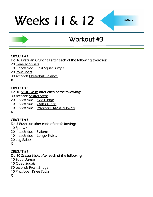## Workout #3

#### CIRCUIT #1

Do 10 [Brazilian Crunches a](http://www.youtube.com/watch?v=r6J94se3Bs4)fter each of the following exercises:

- 20 [Siamese Squats](http://www.youtube.com/watch?v=o3nHRWuxTf0)
- 10 each side [Split Squat Jumps](http://www.youtube.com/watch?v=CK7xI0wa04g)
- 20 [Row Boats](http://www.youtube.com/watch?v=BoI8gn3YRcQ)
- 30 seconds [Physioball Balance](http://www.youtube.com/watch?v=VTumhqtrDMY)
- X1

### CIRCUIT #2

### Do 10 [V-Sit Twists a](http://www.youtube.com/watch?v=f7bu0Tb5hUw)fter each of the following:

- 30 seconds [Stutter Steps](http://www.youtube.com/watch?v=Zx-mRiCVbOw)
- 20 each side [Side Lunge](http://www.youtube.com/watch?v=TzhEkzoTcZ4)
- 10 each side [Crab Crunch](http://www.youtube.com/watch?v=lSeFU1p38W4)
- 10 each side [Physioball Russian Twists](http://www.youtube.com/watch?v=8DdlxChLme4)
- X1

### CIRCUIT #3

#### Do 5 Push-ups after each of the following: 10 [Sprawls](http://www.youtube.com/watch?v=y0CcmNMeJV0&feature=related)

– each side – [Slaloms](http://www.youtube.com/watch?v=WfrB6n3la0Q) – each side – [Lunge Twists](http://www.youtube.com/watch?v=H0HLl6DnQ90) [Leg Raises](http://www.youtube.com/watch?v=gMo97vRBg5A) X1

### CIRCUIT #1

### Do 10 [Scissor Kicks a](http://www.youtube.com/watch?v=XyLTb8ZTh48)fter each of the following:

- 10 [Squat Jumps](http://www.youtube.com/watch?v=56vWSQaTbSo)
- 10 **[Quad Squats](http://www.youtube.com/watch?v=5Q5v3WaT-yY)**
- 30 seconds [Front Bridge](http://www.youtube.com/watch?v=nnLRHI757E4)
- 10 [Physioball Knee Tucks](http://www.youtube.com/watch?v=hr3yEf6d1Yc)
- X1